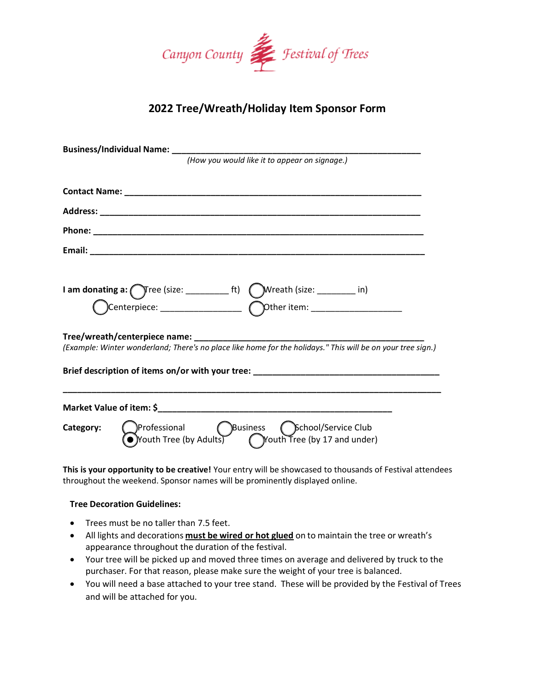

## **2022 Tree/Wreath/Holiday Item Sponsor Form**

| (How you would like it to appear on signage.)                                                                                                               |
|-------------------------------------------------------------------------------------------------------------------------------------------------------------|
|                                                                                                                                                             |
|                                                                                                                                                             |
|                                                                                                                                                             |
|                                                                                                                                                             |
|                                                                                                                                                             |
|                                                                                                                                                             |
| Tree/wreath/centerpiece name: ______________<br>(Example: Winter wonderland; There's no place like home for the holidays." This will be on your tree sign.) |
| Brief description of items on/or with your tree: ________________________________                                                                           |
|                                                                                                                                                             |
| Professional Pusiness Cochool/Service Club<br>• Youth Tree (by Adults) (Youth Tree (by 17 and under)<br>Category:                                           |

**This is your opportunity to be creative!** Your entry will be showcased to thousands of Festival attendees throughout the weekend. Sponsor names will be prominently displayed online.

## **Tree Decoration Guidelines:**

- Trees must be no taller than 7.5 feet.
- All lights and decorations **must be wired or hot glued** on to maintain the tree or wreath's appearance throughout the duration of the festival.
- Your tree will be picked up and moved three times on average and delivered by truck to the purchaser. For that reason, please make sure the weight of your tree is balanced.
- You will need a base attached to your tree stand. These will be provided by the Festival of Trees and will be attached for you.